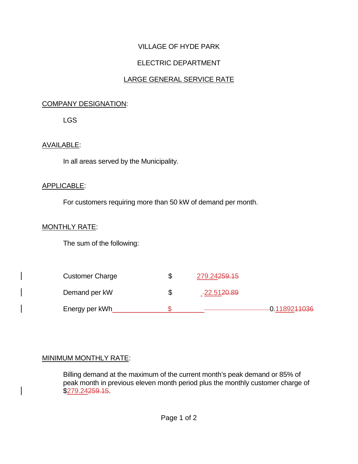# VILLAGE OF HYDE PARK

# ELECTRIC DEPARTMENT

## LARGE GENERAL SERVICE RATE

#### COMPANY DESIGNATION:

LGS

### AVAILABLE:

In all areas served by the Municipality.

#### APPLICABLE:

For customers requiring more than 50 kW of demand per month.

#### MONTHLY RATE:

The sum of the following:

| <b>Customer Charge</b> | S | 279.24 <del>259.15</del> |                          |
|------------------------|---|--------------------------|--------------------------|
| Demand per kW          | S | -22.51 <del>20.89</del>  |                          |
| Energy per kWh         |   |                          | 0.11892 <del>11036</del> |

#### MINIMUM MONTHLY RATE:

Billing demand at the maximum of the current month's peak demand or 85% of peak month in previous eleven month period plus the monthly customer charge of \$279.24259.15.